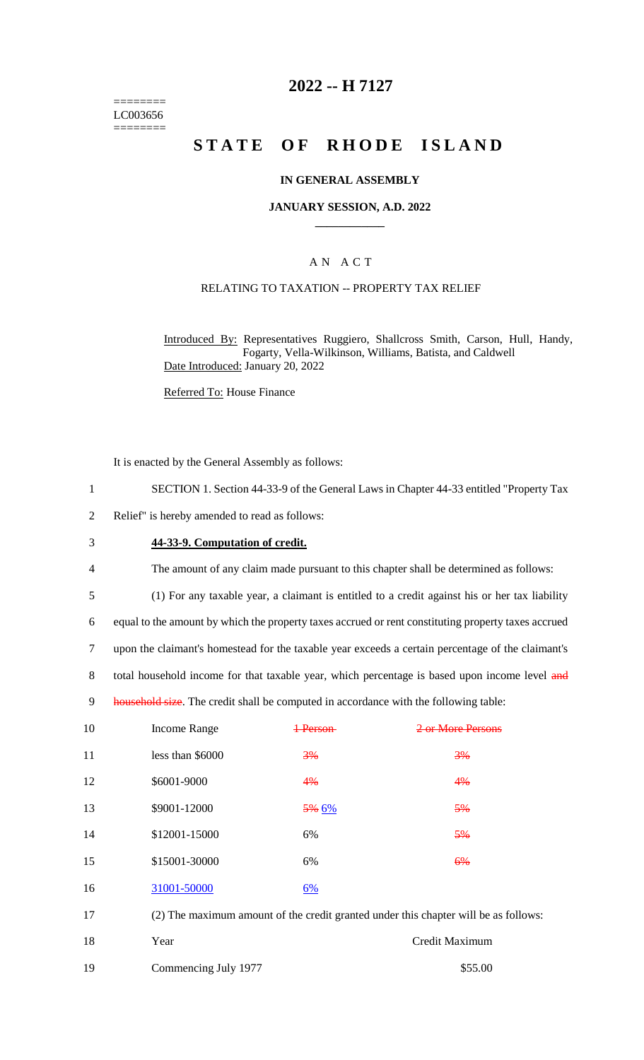======== LC003656 ========

# **2022 -- H 7127**

# **STATE OF RHODE ISLAND**

#### **IN GENERAL ASSEMBLY**

#### **JANUARY SESSION, A.D. 2022 \_\_\_\_\_\_\_\_\_\_\_\_**

## A N A C T

## RELATING TO TAXATION -- PROPERTY TAX RELIEF

Introduced By: Representatives Ruggiero, Shallcross Smith, Carson, Hull, Handy, Fogarty, Vella-Wilkinson, Williams, Batista, and Caldwell Date Introduced: January 20, 2022

Referred To: House Finance

It is enacted by the General Assembly as follows:

- 1 SECTION 1. Section 44-33-9 of the General Laws in Chapter 44-33 entitled "Property Tax
- 2 Relief" is hereby amended to read as follows:
- 3 **44-33-9. Computation of credit.**
- 4 The amount of any claim made pursuant to this chapter shall be determined as follows:
- 5 (1) For any taxable year, a claimant is entitled to a credit against his or her tax liability

6 equal to the amount by which the property taxes accrued or rent constituting property taxes accrued

7 upon the claimant's homestead for the taxable year exceeds a certain percentage of the claimant's

8 total household income for that taxable year, which percentage is based upon income level and

9 household size. The credit shall be computed in accordance with the following table:

| 10 | <b>Income Range</b>                                                                 | Darson    | 2 or More Persons |
|----|-------------------------------------------------------------------------------------|-----------|-------------------|
| 11 | less than \$6000                                                                    | 3%        | 3%                |
| 12 | \$6001-9000                                                                         | 4%        | 4%                |
| 13 | \$9001-12000                                                                        | $5\%~6\%$ | 5%                |
| 14 | \$12001-15000                                                                       | 6%        | 5%                |
| 15 | \$15001-30000                                                                       | 6%        | 6%                |
| 16 | 31001-50000                                                                         | 6%        |                   |
| 17 | (2) The maximum amount of the credit granted under this chapter will be as follows: |           |                   |

18 Year Credit Maximum 19 Commencing July 1977 \$55.00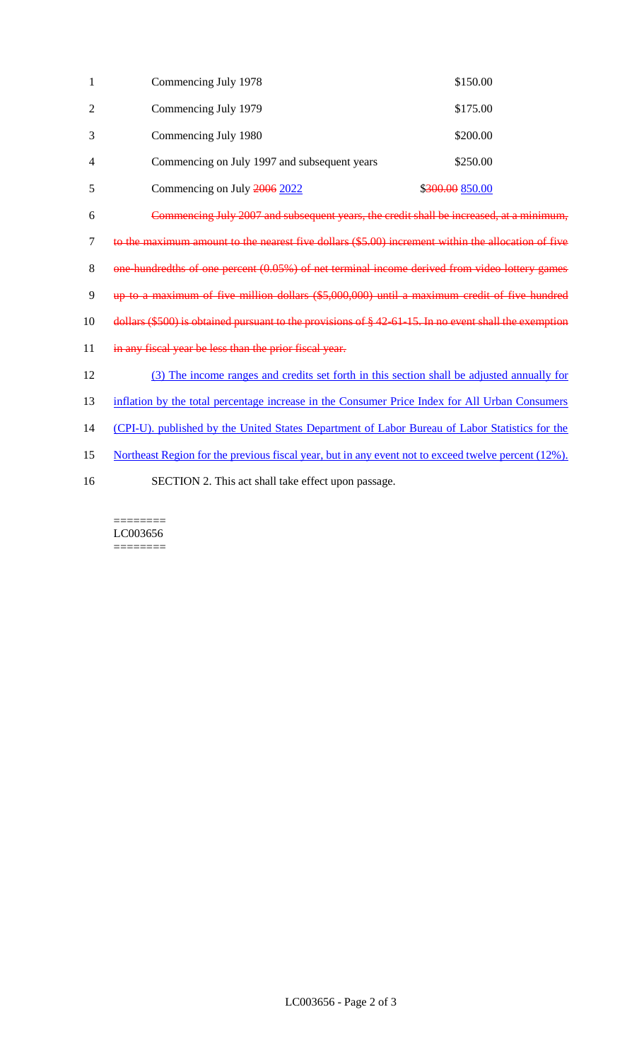| 1              | Commencing July 1978                                                                                      | \$150.00        |  |  |  |
|----------------|-----------------------------------------------------------------------------------------------------------|-----------------|--|--|--|
| $\overline{2}$ | Commencing July 1979                                                                                      | \$175.00        |  |  |  |
| 3              | Commencing July 1980                                                                                      | \$200.00        |  |  |  |
| 4              | Commencing on July 1997 and subsequent years                                                              | \$250.00        |  |  |  |
| 5              | Commencing on July 2006 2022                                                                              | \$300.00 850.00 |  |  |  |
| 6              | Commencing July 2007 and subsequent years, the credit shall be increased, at a minimum,                   |                 |  |  |  |
| $\tau$         | to the maximum amount to the nearest five dollars (\$5.00) increment within the allocation of five        |                 |  |  |  |
| 8              | one-hundredths of one percent (0.05%) of net terminal income derived from video lottery games             |                 |  |  |  |
| 9              | up to a maximum of five million dollars (\$5,000,000) until a maximum credit of five hundred              |                 |  |  |  |
| 10             | dollars $(\$500)$ is obtained pursuant to the provisions of $§$ 42 61 15. In no event shall the exemption |                 |  |  |  |
| 11             | in any fiscal year be less than the prior fiscal year.                                                    |                 |  |  |  |
| 12             | (3) The income ranges and credits set forth in this section shall be adjusted annually for                |                 |  |  |  |
| 13             | inflation by the total percentage increase in the Consumer Price Index for All Urban Consumers            |                 |  |  |  |
| 14             | (CPI-U). published by the United States Department of Labor Bureau of Labor Statistics for the            |                 |  |  |  |
| 15             | Northeast Region for the previous fiscal year, but in any event not to exceed twelve percent (12%).       |                 |  |  |  |
| 16             | SECTION 2. This act shall take effect upon passage.                                                       |                 |  |  |  |

 $\begin{minipage}{0.9\linewidth} \begin{tabular}{l} \hline \textbf{r} & \textbf{r} \\ \hline \textbf{r} & \textbf{r} \\ \hline \textbf{r} & \textbf{r} \\ \hline \textbf{r} & \textbf{r} \\ \hline \textbf{r} & \textbf{r} \\ \hline \textbf{r} & \textbf{r} \\ \hline \textbf{r} & \textbf{r} \\ \hline \textbf{r} & \textbf{r} \\ \hline \textbf{r} & \textbf{r} \\ \hline \textbf{r} & \textbf{r} \\ \hline \textbf{r} & \textbf{r} \\ \hline \textbf{r} & \text$ LC003656  $=$